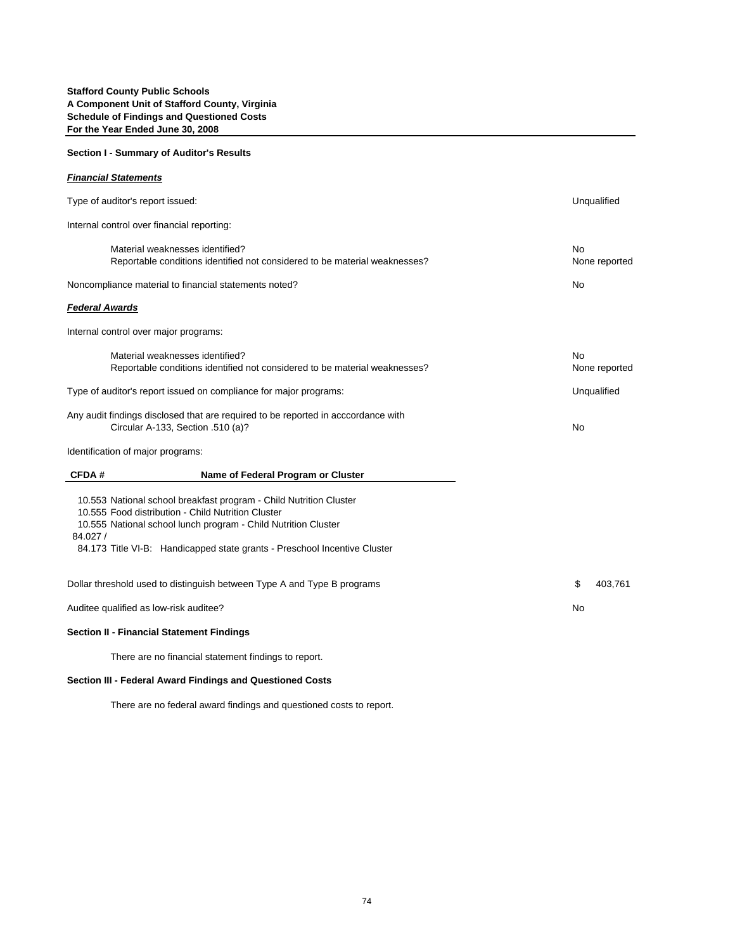## **Section I - Summary of Auditor's Results**

| <b>Financial Statements</b>                                                                                            |                                                                                                                                                                                                                                                                         |                            |
|------------------------------------------------------------------------------------------------------------------------|-------------------------------------------------------------------------------------------------------------------------------------------------------------------------------------------------------------------------------------------------------------------------|----------------------------|
| Type of auditor's report issued:                                                                                       |                                                                                                                                                                                                                                                                         | Unqualified                |
| Internal control over financial reporting:                                                                             |                                                                                                                                                                                                                                                                         |                            |
|                                                                                                                        | Material weaknesses identified?<br>Reportable conditions identified not considered to be material weaknesses?                                                                                                                                                           | <b>No</b><br>None reported |
|                                                                                                                        | Noncompliance material to financial statements noted?                                                                                                                                                                                                                   | No                         |
| <b>Federal Awards</b>                                                                                                  |                                                                                                                                                                                                                                                                         |                            |
| Internal control over major programs:                                                                                  |                                                                                                                                                                                                                                                                         |                            |
|                                                                                                                        | Material weaknesses identified?<br>Reportable conditions identified not considered to be material weaknesses?                                                                                                                                                           | No<br>None reported        |
| Type of auditor's report issued on compliance for major programs:                                                      |                                                                                                                                                                                                                                                                         | Unqualified                |
| Any audit findings disclosed that are required to be reported in acccordance with<br>Circular A-133, Section .510 (a)? |                                                                                                                                                                                                                                                                         | <b>No</b>                  |
| Identification of major programs:                                                                                      |                                                                                                                                                                                                                                                                         |                            |
| <b>CFDA#</b>                                                                                                           | Name of Federal Program or Cluster                                                                                                                                                                                                                                      |                            |
| 84.027 /                                                                                                               | 10.553 National school breakfast program - Child Nutrition Cluster<br>10.555 Food distribution - Child Nutrition Cluster<br>10.555 National school lunch program - Child Nutrition Cluster<br>84.173 Title VI-B: Handicapped state grants - Preschool Incentive Cluster |                            |
|                                                                                                                        | Dollar threshold used to distinguish between Type A and Type B programs                                                                                                                                                                                                 | \$<br>403.761              |
| Auditee qualified as low-risk auditee?                                                                                 | No                                                                                                                                                                                                                                                                      |                            |
|                                                                                                                        | <b>Section II - Financial Statement Findings</b>                                                                                                                                                                                                                        |                            |
|                                                                                                                        | There are no financial statement findings to report.                                                                                                                                                                                                                    |                            |

## **Section III - Federal Award Findings and Questioned Costs**

There are no federal award findings and questioned costs to report.